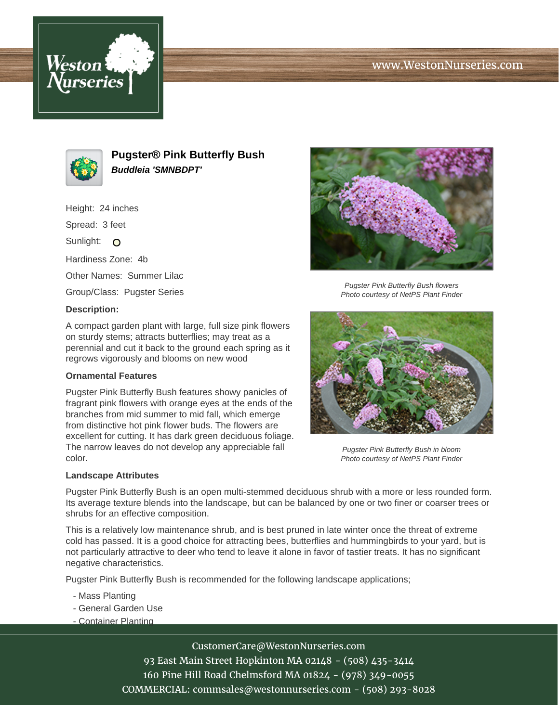# www.WestonNurseries.com





**Pugster® Pink Butterfly Bush Buddleia 'SMNBDPT'**

Height: 24 inches Spread: 3 feet Sunlight: O Hardiness Zone: 4b Other Names: Summer Lilac Group/Class: Pugster Series **Description:**

A compact garden plant with large, full size pink flowers on sturdy stems; attracts butterflies; may treat as a perennial and cut it back to the ground each spring as it regrows vigorously and blooms on new wood

### **Ornamental Features**

Pugster Pink Butterfly Bush features showy panicles of fragrant pink flowers with orange eyes at the ends of the branches from mid summer to mid fall, which emerge from distinctive hot pink flower buds. The flowers are excellent for cutting. It has dark green deciduous foliage. The narrow leaves do not develop any appreciable fall color.

#### **Landscape Attributes**



Pugster Pink Butterfly Bush flowers Photo courtesy of NetPS Plant Finder



Pugster Pink Butterfly Bush in bloom Photo courtesy of NetPS Plant Finder

Pugster Pink Butterfly Bush is an open multi-stemmed deciduous shrub with a more or less rounded form. Its average texture blends into the landscape, but can be balanced by one or two finer or coarser trees or shrubs for an effective composition.

This is a relatively low maintenance shrub, and is best pruned in late winter once the threat of extreme cold has passed. It is a good choice for attracting bees, butterflies and hummingbirds to your yard, but is not particularly attractive to deer who tend to leave it alone in favor of tastier treats. It has no significant negative characteristics.

Pugster Pink Butterfly Bush is recommended for the following landscape applications;

- Mass Planting
- General Garden Use
- Container Planting

CustomerCare@WestonNurseries.com

93 East Main Street Hopkinton MA 02148 - (508) 435-3414 160 Pine Hill Road Chelmsford MA 01824 - (978) 349-0055 COMMERCIAL: commsales@westonnurseries.com - (508) 293-8028